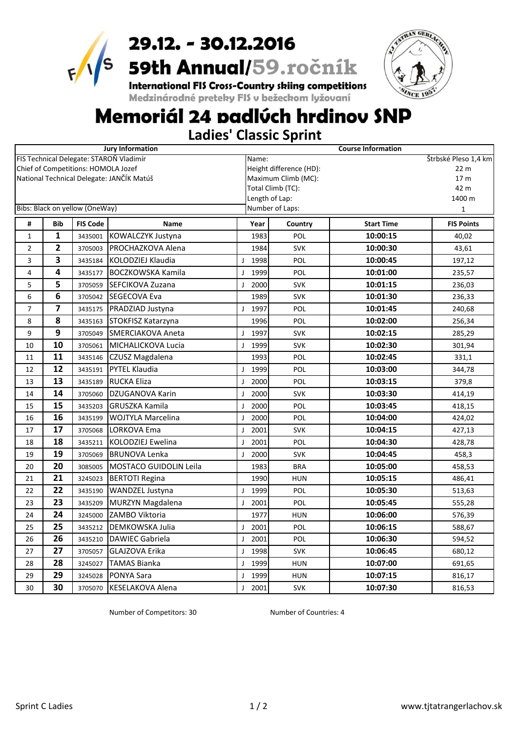

# **29.12. – 30.12.2016**<br>59th Annual/59.ročník<br>International FIS Cross-Country skiing competitions<br>Medzinárodné preteky FIS v bežeckom lyžovaní



## Memoriál 24 padlúch hrdinov SNP

**Ladies' Classic Sprint**

|                |                |                                     | <b>Jury Information</b>                   |                      | <b>Course Information</b>         |                   |                   |  |  |
|----------------|----------------|-------------------------------------|-------------------------------------------|----------------------|-----------------------------------|-------------------|-------------------|--|--|
|                |                |                                     | FIS Technical Delegate: STAROŇ Vladimír   |                      | Štrbské Pleso 1,4 km<br>Name:     |                   |                   |  |  |
|                |                | Chief of Competitions: HOMOLA Jozef |                                           |                      | Height difference (HD):           | 22 <sub>m</sub>   |                   |  |  |
|                |                |                                     | National Technical Delegate: JANČÍK Matúš |                      | Maximum Climb (MC):               |                   | 17 m              |  |  |
|                |                |                                     |                                           |                      | Total Climb (TC):                 |                   | 42 m              |  |  |
|                |                | Bibs: Black on yellow (OneWay)      |                                           |                      | Length of Lap:<br>Number of Laps: |                   | 1400 m            |  |  |
|                |                |                                     |                                           |                      |                                   |                   | $\mathbf 1$       |  |  |
| #              | <b>Bib</b>     | <b>FIS Code</b>                     | <b>Name</b>                               | Year                 | Country                           | <b>Start Time</b> | <b>FIS Points</b> |  |  |
| $\mathbf{1}$   | $\mathbf{1}$   | 3435001                             | KOWALCZYK Justyna                         | 1983                 | POL                               | 10:00:15          | 40,02             |  |  |
| $\overline{2}$ | $\overline{2}$ | 3705003                             | PROCHAZKOVA Alena                         | 1984                 | <b>SVK</b>                        | 10:00:30          | 43,61             |  |  |
| 3              | 3              | 3435184                             | KOLODZIEJ Klaudia                         | 1998<br>$\mathbf{I}$ | POL                               | 10:00:45          | 197,12            |  |  |
| $\overline{4}$ | 4              | 3435177                             | <b>BOCZKOWSKA Kamila</b>                  | 1999<br>J            | POL                               | 10:01:00          | 235,57            |  |  |
| 5              | 5              | 3705059                             | <b>SEFCIKOVA Zuzana</b>                   | 2000<br>$\mathbf{I}$ | <b>SVK</b>                        | 10:01:15          | 236,03            |  |  |
| 6              | 6              | 3705042                             | SEGECOVA Eva                              | 1989                 | <b>SVK</b>                        | 10:01:30          | 236,33            |  |  |
| $\overline{7}$ | $\overline{7}$ | 3435175                             | PRADZIAD Justyna                          | 1997<br>$\mathbf{I}$ | POL                               | 10:01:45          | 240,68            |  |  |
| 8              | 8              | 3435163                             | STOKFISZ Katarzyna                        | 1996                 | POL                               | 10:02:00          | 256,34            |  |  |
| 9              | 9              | 3705049                             | SMERCIAKOVA Aneta                         | 1997<br>$\mathbf{I}$ | <b>SVK</b>                        | 10:02:15          | 285,29            |  |  |
| 10             | 10             | 3705061                             | MICHALICKOVA Lucia                        | 1999<br>J            | <b>SVK</b>                        | 10:02:30          | 301,94            |  |  |
| 11             | 11             | 3435146                             | CZUSZ Magdalena                           | 1993                 | <b>POL</b>                        | 10:02:45          | 331,1             |  |  |
| 12             | 12             | 3435191                             | <b>PYTEL Klaudia</b>                      | 1999<br>$\mathbf{I}$ | POL                               | 10:03:00          | 344,78            |  |  |
| 13             | 13             | 3435189                             | <b>RUCKA Eliza</b>                        | 2000<br>$\mathbf{I}$ | <b>POL</b>                        | 10:03:15          | 379,8             |  |  |
| 14             | 14             | 3705060                             | DZUGANOVA Karin                           | 2000<br>$\mathbf{I}$ | <b>SVK</b>                        | 10:03:30          | 414,19            |  |  |
| 15             | 15             | 3435203                             | <b>GRUSZKA Kamila</b>                     | 2000<br>J            | POL                               | 10:03:45          | 418,15            |  |  |
| 16             | 16             | 3435199                             | WOJTYLA Marcelina                         | 2000<br>J            | POL                               | 10:04:00          | 424,02            |  |  |
| 17             | 17             | 3705068                             | LORKOVA Ema                               | 2001<br>J            | <b>SVK</b>                        | 10:04:15          | 427,13            |  |  |
| 18             | 18             | 3435211                             | <b>KOLODZIEJ Ewelina</b>                  | 2001<br>J            | POL                               | 10:04:30          | 428,78            |  |  |
| 19             | 19             | 3705069                             | <b>BRUNOVA Lenka</b>                      | 2000<br>J            | <b>SVK</b>                        | 10:04:45          | 458,3             |  |  |
| 20             | 20             | 3085005                             | <b>MOSTACO GUIDOLIN Leila</b>             | 1983                 | <b>BRA</b>                        | 10:05:00          | 458,53            |  |  |
| 21             | 21             | 3245023                             | <b>BERTOTI Regina</b>                     | 1990                 | <b>HUN</b>                        | 10:05:15          | 486,41            |  |  |
| 22             | 22             | 3435190                             | WANDZEL Justyna                           | 1999<br>$\mathbf{I}$ | POL                               | 10:05:30          | 513,63            |  |  |
| 23             | 23             | 3435209                             | MURZYN Magdalena                          | 2001<br>$\mathbf{I}$ | POL                               | 10:05:45          | 555,28            |  |  |
| 24             | 24             | 3245000                             | ZAMBO Viktoria                            | 1977                 | <b>HUN</b>                        | 10:06:00          | 576,39            |  |  |
| 25             | 25             | 3435212                             | DEMKOWSKA Julia                           | 2001<br>$\mathbf{I}$ | POL                               | 10:06:15          | 588,67            |  |  |
| 26             | 26             | 3435210                             | <b>DAWIEC Gabriela</b>                    | 2001<br>$\mathbf{I}$ | POL                               | 10:06:30          | 594,52            |  |  |
| 27             | 27             | 3705057                             | GLAJZOVA Erika                            | 1998<br>$\mathbf{I}$ | <b>SVK</b>                        | 10:06:45          | 680,12            |  |  |
| 28             | 28             | 3245027                             | <b>TAMAS Bianka</b>                       | 1999<br>$\mathbf{I}$ | <b>HUN</b>                        | 10:07:00          | 691,65            |  |  |
| 29             | 29             | 3245028                             | PONYA Sara                                | 1999<br>$\mathbf{I}$ | <b>HUN</b>                        | 10:07:15          | 816,17            |  |  |
| 30             | 30             | 3705070                             | KESELAKOVA Alena                          | 2001<br>J            | <b>SVK</b>                        | 10:07:30          | 816,53            |  |  |

Number of Competitors: 30 Number of Countries: 4